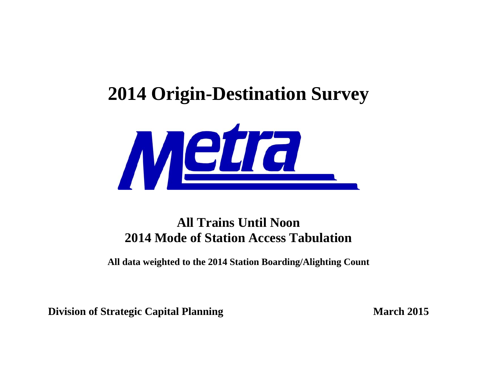## **2014 Origin-Destination Survey**



## **All Trains Until Noon 2014 Mode of Station Access Tabulation**

**All data weighted to the 2014 Station Boarding/Alighting Count** 

**Division of Strategic Capital Planning March 2015**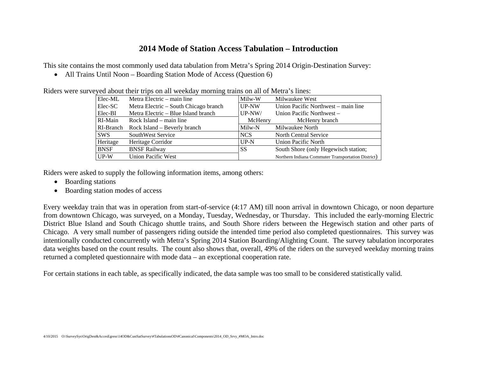## **2014 Mode of Station Access Tabulation – Introduction**

This site contains the most commonly used data tabulation from Metra's Spring 2014 Origin-Destination Survey:

• All Trains Until Noon – Boarding Station Mode of Access (Question 6)

|             | veyed about their trips on an weekday morning trains on an or wietra's mies. |          |                                                    |
|-------------|------------------------------------------------------------------------------|----------|----------------------------------------------------|
| Elec-ML     | Metra Electric – main line                                                   | Milw-W   | Milwaukee West                                     |
| Elec-SC     | Metra Electric – South Chicago branch                                        | UP-NW    | Union Pacific Northwest – main line                |
| Elec-BI     | Metra Electric – Blue Island branch                                          | $UP-NW/$ | Union Pacific Northwest –                          |
| RI-Main     | Rock Island – main line                                                      | McHenry  | McHenry branch                                     |
| RI-Branch   | Rock Island – Beverly branch                                                 | Milw-N   | Milwaukee North                                    |
| <b>SWS</b>  | SouthWest Service                                                            | NCS      | North Central Service                              |
| Heritage    | Heritage Corridor                                                            | $UP-N$   | <b>Union Pacific North</b>                         |
| <b>BNSF</b> | <b>BNSF Railway</b>                                                          | SS       | South Shore (only Hegewisch station;               |
| $UP-W$      | Union Pacific West                                                           |          | Northern Indiana Commuter Transportation District) |

Riders were surveyed about their trips on all weekday morning trains on all of Metra's lines:

Riders were asked to supply the following information items, among others:

- Boarding stations
- Boarding station modes of access

Every weekday train that was in operation from start-of-service (4:17 AM) till noon arrival in downtown Chicago, or noon departure from downtown Chicago, was surveyed, on a Monday, Tuesday, Wednesday, or Thursday. This included the early-morning Electric District Blue Island and South Chicago shuttle trains, and South Shore riders between the Hegewisch station and other parts of Chicago. A very small number of passengers riding outside the intended time period also completed questionnaires. This survey was intentionally conducted concurrently with Metra's Spring 2014 Station Boarding/Alighting Count. The survey tabulation incorporates data weights based on the count results. The count also shows that, overall, 49% of the riders on the surveyed weekday morning trains returned a completed questionnaire with mode data – an exceptional cooperation rate.

For certain stations in each table, as specifically indicated, the data sample was too small to be considered statistically valid.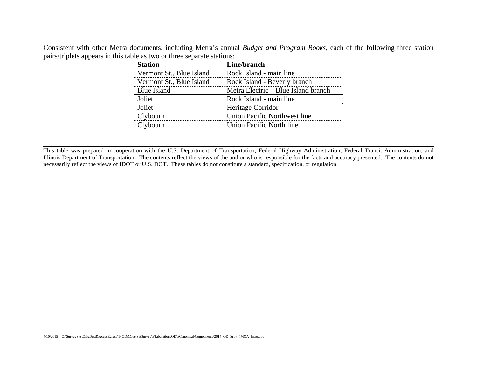Consistent with other Metra documents, including Metra's annual *Budget and Program Books*, each of the following three station pairs/triplets appears in this table as two or three separate stations:

| <b>Station</b>           | Line/branch                         |
|--------------------------|-------------------------------------|
| Vermont St., Blue Island | Rock Island - main line             |
| Vermont St., Blue Island | Rock Island - Beverly branch        |
| <b>Blue Island</b>       | Metra Electric - Blue Island branch |
| Joliet                   | Rock Island - main line             |
| Joliet                   | Heritage Corridor                   |
| Clybourn                 | Union Pacific Northwest line        |
| Clybourn                 | Union Pacific North line            |

This table was prepared in cooperation with the U.S. Department of Transportation, Federal Highway Administration, Federal Transit Administration, and Illinois Department of Transportation. The contents reflect the views of the author who is responsible for the facts and accuracy presented. The contents do not necessarily reflect the views of IDOT or U.S. DOT. These tables do not constitute a standard, specification, or regulation.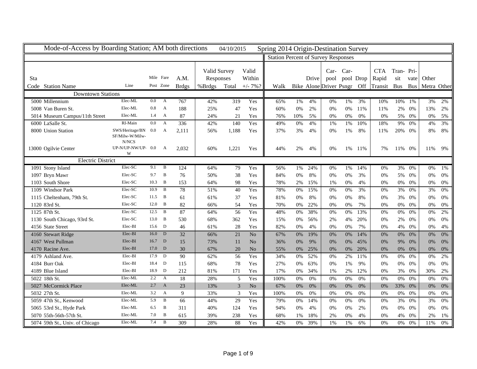| Mode-of-Access by Boarding Station; AM both directions |                                        |           |                  |                 |                           | 04/10/2015 |                 | Spring 2014 Origin-Destination Survey      |       |       |                         |                   |     |                     |                  |       |                 |       |
|--------------------------------------------------------|----------------------------------------|-----------|------------------|-----------------|---------------------------|------------|-----------------|--------------------------------------------|-------|-------|-------------------------|-------------------|-----|---------------------|------------------|-------|-----------------|-------|
|                                                        |                                        |           |                  |                 |                           |            |                 | <b>Station Percent of Survey Responses</b> |       |       |                         |                   |     |                     |                  |       |                 |       |
| Sta                                                    |                                        | Mile Fare |                  | A.M.            | Valid Survey<br>Responses |            | Valid<br>Within |                                            |       | Drive | $Car-$<br>pool          | Car-<br>pool Drop |     | <b>CTA</b><br>Rapid | Tran-Pri-<br>sit | vate  | Other           |       |
| Code Station Name                                      | Line                                   |           | Post Zone        | <b>Brdgs</b>    | %Brdgs                    | Total      | $+/- 7\%$ ?     | Walk                                       |       |       | Bike Alone Driver Psngr |                   | Off | Transit Bus         |                  |       | Bus Metra Other |       |
| <b>Downtown Stations</b>                               |                                        |           |                  |                 |                           |            |                 |                                            |       |       |                         |                   |     |                     |                  |       |                 |       |
| 5000 Millennium                                        | Elec-ML                                | $0.0\,$   | $\mathbf{A}$     | 767             | 42%                       | 319        | Yes             | 65%                                        | 1%    | 4%    | 0%                      | 1%                | 3%  | 10%                 | 10%              | 1%    | 3%              | 2%    |
| 5008 Van Buren St.                                     | Elec-ML                                | 0.8       | $\mathbf{A}$     | 188             | 25%                       | 47         | Yes             | 60%                                        | 0%    | 2%    | 0%                      | 0%                | 11% | 11%                 | 2%               | $0\%$ | 13%             | 2%    |
| 5014 Museum Campus/11th Street                         | Elec-ML                                | 1.4       | $\boldsymbol{A}$ | 87              | 24%                       | 21         | Yes             | 76%                                        | 10%   | 5%    | 0%                      | 0%                | 0%  | 0%                  | 5%               | 0%    | 0%              | 5%    |
| 6000 LaSalle St.                                       | RI-Main                                | 0.0       | $\mathbf{A}$     | 336             | 42%                       | 140        | Yes             | 49%                                        | 0%    | 4%    | 1%                      | $1\%$             | 10% | 18%                 | 9%               | $0\%$ | 4%              | 3%    |
| 8000 Union Station                                     | SWS/Heritage/BN 0.0<br>SF/Milw-W/Milw- |           | $\mathbf{A}$     | 2,111           | 56%                       | 1,188      | Yes             | 37%                                        | 3%    | 4%    | 0%                      | 1%                | 8%  | 11%                 | 20%              | 0%    | 8%              | 8%    |
| 13000 Ogilvie Center                                   | N/NCS<br>UP-N/UP-NW/UP-0.0<br>W        |           | $\boldsymbol{A}$ | 2,032           | 60%                       | 1,221      | Yes             | 44%                                        | 2%    | 4%    | 0%                      | 1%                | 11% | 7%                  | 11%              | 0%    | 11%             | 9%    |
| <b>Electric District</b>                               |                                        |           |                  |                 |                           |            |                 |                                            |       |       |                         |                   |     |                     |                  |       |                 |       |
| 1091 Stony Island                                      | Elec-SC                                | 9.1       | B                | 124             | 64%                       | 79         | Yes             | 56%                                        | 1%    | 24%   | 0%                      | 1%                | 14% | 0%                  | 3%               | 0%    | 0%              | 1%    |
| 1097 Bryn Mawr                                         | Elec-SC                                | 9.7       | $\, {\bf B}$     | 76              | 50%                       | 38         | Yes             | 84%                                        | 0%    | 8%    | 0%                      | 0%                | 3%  | 0%                  | 5%               | 0%    | 0%              | 0%    |
| 1103 South Shore                                       | Elec-SC                                | 10.3      | $\mathbf B$      | 153             | 64%                       | 98         | Yes             | 78%                                        | 2%    | 15%   | 1%                      | 0%                | 4%  | 0%                  | $0\%$            | 0%    | 0%              | 0%    |
| 1109 Windsor Park                                      | Elec-SC                                | 10.9      | $\overline{B}$   | 78              | 51%                       | 40         | Yes             | 78%                                        | 0%    | 15%   | 0%                      | 0%                | 3%  | 0%                  | 3%               | 0%    | 3%              | 0%    |
| 1115 Cheltenham, 79th St.                              | Elec-SC                                | 11.5      | $\overline{B}$   | 61              | 61%                       | 37         | Yes             | 81%                                        | 0%    | 8%    | 0%                      | 0%                | 8%  | 0%                  | 3%               | 0%    | 0%              | 0%    |
| 1120 83rd St.                                          | Elec-SC                                | 12.0      | $\mathbf B$      | 82              | 66%                       | 54         | Yes             | 70%                                        | 0%    | 22%   | 0%                      | 0%                | 7%  | 0%                  | $0\%$            | 0%    | 0%              | 0%    |
| 1125 87th St.                                          | Elec-SC                                | 12.5      | $\mathbf{B}$     | 87              | 64%                       | 56         | Yes             | 48%                                        | 0%    | 38%   | 0%                      | 0%                | 13% | 0%                  | 0%               | 0%    | 0%              | 2%    |
| 1130 South Chicago, 93rd St.                           | Elec-SC                                | 13.0      | $\overline{B}$   | 530             | 68%                       | 362        | Yes             | 15%                                        | 0%    | 56%   | 2%                      | 4%                | 20% | 0%                  | 2%               | 0%    | 0%              | 0%    |
| 4156 State Street                                      | Elec-BI                                | 15.6      | $\mathbf{D}$     | 46              | 61%                       | 28         | Yes             | 82%                                        | 0%    | 4%    | 0%                      | 0%                | 7%  | 0%                  | 4%               | 0%    | 0%              | 4%    |
| 4160 Stewart Ridge                                     | Elec-BI                                | 16.0      | $\mathbf{D}$     | 32              | 66%                       | 21         | No              | 67%                                        | 0%    | 19%   | 0%                      | 0%                | 14% | 0%                  | 0%               | 0%    | 0%              | 0%    |
| 4167 West Pullman                                      | Elec-BI                                | 16.7      | D                | 15              | 73%                       | 11         | N <sub>o</sub>  | 36%                                        | 0%    | 9%    | 0%                      | 0%                | 45% | 0%                  | 9%               | 0%    | 0%              | 0%    |
| 4170 Racine Ave.                                       | Elec-BI                                | 17.0      | D                | 30              | 67%                       | 20         | No              | 55%                                        | $0\%$ | 25%   | 0%                      | 0%                | 20% | 0%                  | $0\%$            | 0%    | 0%              | $0\%$ |
| 4179 Ashland Ave.                                      | Elec-BI                                | 17.9      | D                | $\overline{90}$ | 62%                       | 56         | Yes             | 34%                                        | 0%    | 52%   | 0%                      | 2%                | 11% | 0%                  | $0\%$            | 0%    | 0%              | 2%    |
| 4184 Burr Oak                                          | Elec-BI                                | 18.4      | D                | 115             | 68%                       | 78         | Yes             | 27%                                        | 0%    | 63%   | 0%                      | 1%                | 9%  | 0%                  | $0\%$            | 0%    | 0%              | 0%    |
| 4189 Blue Island                                       | Elec-BI                                | 18.9      | D                | 212             | 81%                       | 171        | Yes             | 17%                                        | $0\%$ | 34%   | 1%                      | 2%                | 12% | 0%                  | 3%               | 0%    | 30%             | 2%    |
| 5022 18th St.                                          | Elec-ML                                | 2.2       | $\mathbf{A}$     | 18              | 28%                       | 5          | Yes             | 100%                                       | 0%    | 0%    | 0%                      | 0%                | 0%  | 0%                  | 0%               | 0%    | 0%              | 0%    |
| 5027 McCormick Place                                   | Elec-ML                                | 2.7       | $\mathbf{A}$     | 23              | 13%                       | 3          | N <sub>o</sub>  | 67%                                        | 0%    | 0%    | 0%                      | 0%                | 0%  | 0%                  | 33%              | 0%    | 0%              | 0%    |
| 5032 27th St.                                          | Elec-ML                                | 3.2       | $\mathbf{A}$     | 9               | 33%                       | 3          | Yes             | 100%                                       | 0%    | 0%    | 0%                      | 0%                | 0%  | 0%                  | 0%               | $0\%$ | 0%              | 0%    |
| 5059 47th St., Kenwood                                 | Elec-ML                                | 5.9       | $\, {\bf B}$     | 66              | 44%                       | 29         | Yes             | 79%                                        | 0%    | 14%   | 0%                      | 0%                | 0%  | 0%                  | 3%               | 0%    | 3%              | 0%    |
| 5065 53rd St., Hyde Park                               | Elec-ML                                | 6.5       | B                | 311             | 40%                       | 124        | Yes             | 94%                                        | $0\%$ | 4%    | 0%                      | 0%                | 2%  | $0\%$               | $0\%$            | 0%    | 0%              | $0\%$ |
| 5070 55th-56th-57th St.                                | Elec-ML                                | 7.0       | B                | 615             | 39%                       | 238        | Yes             | 68%                                        | 1%    | 18%   | 2%                      | 0%                | 4%  | 0%                  | $4\%$            | 0%    | 2%              | 1%    |
| 5074 59th St., Univ. of Chicago                        | Elec-ML                                | 7.4       | B                | 309             | 28%                       | 88         | Yes             | 42%                                        | 0%    | 39%   | 1%                      | 1%                | 6%  | 0%                  | $0\%$            | 0%    | 11%             | 0%    |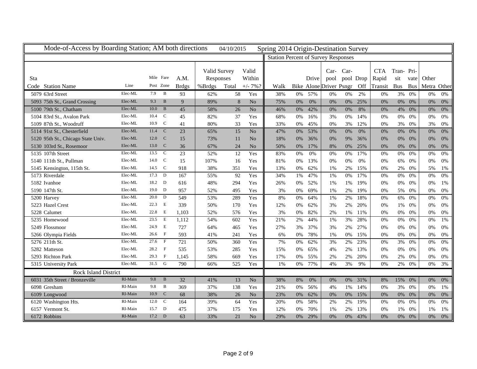| Mode-of-Access by Boarding Station; AM both directions |         |           |                |                 |              | 04/10/2015 |                 | Spring 2014 Origin-Destination Survey      |       |       |                         |       |           |            |            |            |             |       |
|--------------------------------------------------------|---------|-----------|----------------|-----------------|--------------|------------|-----------------|--------------------------------------------|-------|-------|-------------------------|-------|-----------|------------|------------|------------|-------------|-------|
|                                                        |         |           |                |                 |              |            |                 | <b>Station Percent of Survey Responses</b> |       |       |                         |       |           |            |            |            |             |       |
|                                                        |         |           |                |                 |              |            |                 |                                            |       |       |                         |       |           |            |            |            |             |       |
|                                                        |         |           |                |                 | Valid Survey |            | Valid           |                                            |       |       | $Car-$                  | Car-  |           | <b>CTA</b> | Tran-Pri-  |            |             |       |
| Sta                                                    |         | Mile Fare |                | A.M.            | Responses    |            | Within          |                                            |       | Drive | pool                    |       | pool Drop | Rapid      | sit        | vate       | Other       |       |
| <b>Station Name</b><br>Code                            | Line    | Post Zone |                | <b>Brdgs</b>    | %Brdgs       | Total      | $+/- 7\%$ ?     | Walk                                       |       |       | Bike Alone Driver Psngr |       | Off       | Transit    | <b>Bus</b> | <b>Bus</b> | Metra Other |       |
| 5079 63rd Street                                       | Elec-ML | 7.9       | B              | 93              | 62%          | 58         | Yes             | 38%                                        | 0%    | 57%   | 0%                      | 0%    | 2%        | 0%         | 3%         | 0%         | 0%          | 0%    |
| 5093 75th St., Grand Crossing                          | Elec-ML | 9.3       | B              | 9               | 89%          | 8          | N <sub>o</sub>  | 75%                                        | 0%    | 0%    | 0%                      | 0%    | 25%       | 0%         | 0%         | 0%         | 0%          | 0%    |
| 5100 79th St., Chatham                                 | Elec-ML | 10.0      | $\bf{B}$       | 45              | 58%          | 26         | No              | 46%                                        | 0%    | 42%   | 0%                      | 0%    | 8%        | 0%         | 4%         | 0%         | 0%          | 0%    |
| 5104 83rd St., Avalon Park                             | Elec-ML | 10.4      | $\mathbf C$    | 45              | 82%          | 37         | Yes             | 68%                                        | 0%    | 16%   | 3%                      | 0%    | 14%       | 0%         | $0\%$      | $0\%$      | 0%          | 0%    |
| 5109 87th St., Woodruff                                | Elec-ML | 10.9      | $\mathbf C$    | 41              | 80%          | 33         | Yes             | 33%                                        | 0%    | 45%   | 0%                      | 3%    | 12%       | 0%         | $3\%$      | 0%         | 3%          | 0%    |
| 5114 91st St., Chesterfield                            | Elec-ML | 11.4      | $\mathbf C$    | 23              | 65%          | 15         | $\overline{No}$ | 47%                                        | 0%    | 53%   | 0%                      | 0%    | 0%        | 0%         | $0\%$      | 0%         | 0%          | 0%    |
| 5120 95th St., Chicago State Univ.                     | Elec-ML | 12.0      | $\mathbf C$    | 15              | 73%          | 11         | $\rm No$        | 18%                                        | 0%    | 36%   | 0%                      | 9%    | 36%       | 0%         | $0\%$      | 0%         | 0%          | $0\%$ |
| 5130 103rd St., Rosemoor                               | Elec-ML | 13.0      | $\mathcal{C}$  | 36              | 67%          | 24         | $\rm No$        | 50%                                        | 0%    | 17%   | 8%                      | 0%    | 25%       | 0%         | $0\%$      | 0%         | 0%          | $0\%$ |
| 5135 107th Street                                      | Elec-ML | 13.5      | $\mathbf C$    | $\overline{23}$ | 52%          | 12         | Yes             | 83%                                        | 0%    | 0%    | 0%                      | 0%    | 17%       | 0%         | $0\%$      | 0%         | 0%          | 0%    |
| 5140 111th St., Pullman                                | Elec-ML | 14.0      | $\mathbf C$    | 15              | 107%         | 16         | Yes             | 81%                                        | 0%    | 13%   | 0%                      | 0%    | 0%        | 0%         | 6%         | 0%         | 0%          | $0\%$ |
| 5145 Kensington, 115th St.                             | Elec-ML | 14.5      | $\mathbf C$    | 918             | 38%          | 351        | Yes             | 13%                                        | 0%    | 62%   | 1%                      | 2%    | 15%       | 0%         | $2\%$      | 0%         | 5%          | 1%    |
| 5173 Riverdale                                         | Elec-ML | 17.3      | D              | 167             | 55%          | 92         | Yes             | 34%                                        | 1%    | 47%   | 1%                      | 0%    | 17%       | 0%         | 0%         | 0%         | 0%          | 0%    |
| 5182 Ivanhoe                                           | Elec-ML | 18.2 D    |                | 616             | 48%          | 294        | Yes             | 26%                                        | 0%    | 52%   | 1%                      | 1%    | 19%       | 0%         | 0%         | 0%         | 0%          | 1%    |
| 5190 147th St.                                         | Elec-ML | 19.0      | $\mathbf{D}$   | 957             | 52%          | 495        | Yes             | 3%                                         | 0%    | 69%   | 1%                      | 2%    | 19%       | 0%         | 5%         | 0%         | 0%          | 0%    |
| 5200 Harvey                                            | Elec-ML | 20.0      | D              | 549             | 53%          | 289        | Yes             | 8%                                         | 0%    | 64%   | 1%                      | 2%    | 18%       | 0%         | 6%         | 0%         | 0%          | 0%    |
| 5223 Hazel Crest                                       | Elec-ML | 22.3      | E              | 339             | 50%          | 170        | Yes             | 12%                                        | 0%    | 62%   | 3%                      | 2%    | 20%       | 0%         | 1%         | 0%         | 0%          | 0%    |
| 5228 Calumet                                           | Elec-ML | 22.8      | E              | 1,103           | 52%          | 576        | Yes             | 3%                                         | 0%    | 82%   | 2%                      | 1%    | 11%       | 0%         | $0\%$      | $0\%$      | 0%          | $0\%$ |
| 5235 Homewood                                          | Elec-ML | 23.5      | E              | 1,112           | 54%          | 602        | Yes             | 21%                                        | 2%    | 44%   | 1%                      | 3%    | 28%       | 0%         | $0\%$      | 0%         | 0%          | 1%    |
| 5249 Flossmoor                                         | Elec-ML | 24.9      | E              | 727             | 64%          | 465        | Yes             | 27%                                        | 3%    | 37%   | 3%                      | 2%    | 27%       | 0%         | $0\%$      | 0%         | 0%          | 0%    |
| 5266 Olympia Fields                                    | Elec-ML | 26.6      | $\mathbf{F}$   | 593             | 41%          | 241        | Yes             | 6%                                         | 0%    | 78%   | 1%                      | $0\%$ | 15%       | 0%         | $0\%$      | 0%         | 0%          | 0%    |
| 5276 211th St.                                         | Elec-ML | 27.6 F    |                | 721             | 50%          | 360        | Yes             | 7%                                         | $0\%$ | 62%   | 3%                      | 2%    | 23%       | 0%         | 3%         | 0%         | 0%          | $0\%$ |
| 5282 Matteson                                          | Elec-ML | 28.2      | $\mathbf{F}$   | 535             | 53%          | 285        | Yes             | 15%                                        | 0%    | 65%   | 4%                      | 2%    | 13%       | 0%         | $0\%$      | 0%         | 0%          | 0%    |
| 5293 Richton Park                                      | Elec-ML | 29.3      | $\mathbf{F}$   | 1,145           | 58%          | 669        | Yes             | 17%                                        | 0%    | 55%   | 2%                      | 2%    | 20%       | 0%         | 2%         | 0%         | 0%          | 0%    |
| 5315 University Park                                   | Elec-ML | 31.5      | G              | 790             | 66%          | 525        | Yes             | 1%                                         | $0\%$ | 77%   | 4%                      | 3%    | 9%        | 0%         | 2%         | 0%         | 0%          | 3%    |
| <b>Rock Island District</b>                            |         |           |                |                 |              |            |                 |                                            |       |       |                         |       |           |            |            |            |             |       |
| 6031 35th Street / Bronzeville                         | RI-Main | 9.8       | B              | 32              | 41%          | 13         | No              | 38%                                        | 8%    | 0%    | 0%                      | 0%    | 31%       | 8%         | 15%        | 0%         | 0%          | 0%    |
| 6098 Gresham                                           | RI-Main | 9.8       | B              | 369             | 37%          | 138        | Yes             | 21%                                        | 0%    | 56%   | 4%                      | 1%    | 14%       | 0%         | 3%         | 0%         | 0%          | 1%    |
| 6109 Longwood                                          | RI-Main | 10.9      | C              | 68              | 38%          | 26         | N <sub>o</sub>  | 23%                                        | 0%    | 62%   | 0%                      | 0%    | 15%       | 0%         | $0\%$      | 0%         | 0%          | 0%    |
| 6120 Washington Hts.                                   | RI-Main | 12.0      | C <sub>1</sub> | 164             | 39%          | 64         | Yes             | 20%                                        | 0%    | 58%   | 2%                      | 2%    | 19%       | 0%         | $0\%$      | 0%         | 0%          | 0%    |
| 6157 Vermont St.                                       | RI-Main | 15.7      | $\mathbb{D}$   | 475             | 37%          | 175        | Yes             | 12%                                        | 0%    | 70%   | 1%                      | 2%    | 13%       | 0%         | 1%         | 0%         | 1%          | 1%    |
| 6172 Robbins                                           | RI-Main | $17.2$ D  |                | 63              | 33%          | 21         | N <sub>o</sub>  | 29%                                        | 0%    | 29%   | 0%                      | 0%    | 43%       | 0%         | 0%         | 0%         | 0%          | 0%    |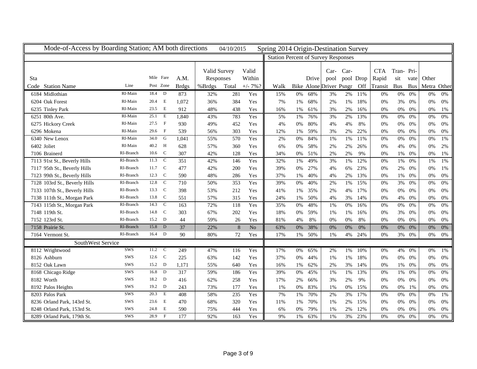| Mode-of-Access by Boarding Station; AM both directions |            |                      |                |              |              | 04/10/2015 |                 | Spring 2014 Origin-Destination Survey      |       |       |                         |      |           |            |            |            |             |       |
|--------------------------------------------------------|------------|----------------------|----------------|--------------|--------------|------------|-----------------|--------------------------------------------|-------|-------|-------------------------|------|-----------|------------|------------|------------|-------------|-------|
|                                                        |            |                      |                |              |              |            |                 | <b>Station Percent of Survey Responses</b> |       |       |                         |      |           |            |            |            |             |       |
|                                                        |            |                      |                |              |              |            |                 |                                            |       |       |                         |      |           |            |            |            |             |       |
|                                                        |            | Mile Fare            |                |              | Valid Survey |            | Valid           |                                            |       |       | $Car-$                  | Car- |           | <b>CTA</b> | Tran-Pri-  |            |             |       |
| <b>Sta</b>                                             |            |                      |                | A.M.         | Responses    |            | Within          |                                            |       | Drive | pool                    |      | pool Drop | Rapid      | sit        | vate       | Other       |       |
| Code Station Name                                      | Line       | Post Zone            |                | <b>Brdgs</b> | %Brdgs       | Total      | $+/- 7\%$ ?     | Walk                                       |       |       | Bike Alone Driver Psngr |      | Off       | Transit    | <b>Bus</b> | <b>Bus</b> | Metra Other |       |
| 6184 Midlothian                                        | RI-Main    | 18.4                 | D              | 873          | 32%          | 281        | Yes             | 15%                                        | 0%    | 68%   | 3%                      | 2%   | 11%       | 0%         | 0%         | 0%         | 0%          | 0%    |
| 6204 Oak Forest                                        | RI-Main    | 20.4                 | Е              | 1.072        | 36%          | 384        | Yes             | 7%                                         | 1%    | 68%   | 2%                      | 1%   | 18%       | 0%         | 3%         | 0%         | 0%          | 0%    |
| 6235 Tinley Park                                       | RI-Main    | 23.5                 | Е              | 912          | 48%          | 438        | Yes             | 16%                                        | 1%    | 61%   | 3%                      | 2%   | 16%       | 0%         | $0\%$      | 0%         | 0%          | 1%    |
| 6251 80th Ave.                                         | RI-Main    | 25.1                 | E              | 1,840        | 43%          | 783        | Yes             | 5%                                         | 1%    | 76%   | 3%                      | 2%   | 13%       | 0%         | $0\%$      | 0%         | 0%          | 0%    |
| 6275 Hickory Creek                                     | RI-Main    | 27.5                 | $\mathbf{F}$   | 930          | 49%          | 452        | Yes             | 4%                                         | 0%    | 80%   | 4%                      | 4%   | 8%        | 0%         | $0\%$      | 0%         | 0%          | 0%    |
| 6296 Mokena                                            | RI-Main    | 29.6                 | $\mathbf{F}$   | 539          | 56%          | 303        | Yes             | 12%                                        | 1%    | 59%   | 3%                      | 2%   | 22%       | 0%         | $0\%$      | 0%         | 0%          | $0\%$ |
| 6340 New Lenox                                         | RI-Main    | 34.0                 | G              | 1,041        | 55%          | 570        | Yes             | 2%                                         | $0\%$ | 84%   | 1%                      | 1%   | 11%       | 0%         | $0\%$      | 0%         | 0%          | 1%    |
| 6402 Joliet                                            | RI-Main    | 40.2                 | H              | 628          | 57%          | 360        | Yes             | 6%                                         | 0%    | 58%   | 2%                      | 2%   | 26%       | 0%         | 4%         | 0%         | 0%          | $2\%$ |
| 7106 Brainerd                                          | RI-Branch  | 10.6                 | $\mathbf C$    | 307          | 42%          | 128        | Yes             | 34%                                        | $0\%$ | 51%   | 2%                      | 2%   | 9%        | 0%         | 1%         | 0%         | 0%          | 1%    |
| 7113 91st St., Beverly Hills                           | RI-Branch  | 11.3                 | $\overline{C}$ | 351          | 42%          | 146        | Yes             | 32%                                        | 1%    | 49%   | 3%                      | 1%   | 12%       | 0%         | 1%         | 0%         | 1%          | 1%    |
| 7117 95th St., Beverly Hills                           | RI-Branch  | 11.7 C               | 477            |              | 42%          | 200        | Yes             | 39%                                        | $0\%$ | 27%   | 4%                      | 6%   | 23%       | 0%         | $2\%$      | 0%         | 0%          | 1%    |
| 7123 99th St., Beverly Hills                           | RI-Branch  | 12.3                 | $\mathbf C$    | 590          | 48%          | 286        | Yes             | 37%                                        | 1%    | 40%   | 4%                      | 2%   | 13%       | 0%         | $1\%$      | 0%         | 0%          | $0\%$ |
| 7128 103rd St., Beverly Hills                          | RI-Branch  | 12.8                 | $\mathbf C$    | 710          | 50%          | 353        | Yes             | 39%                                        | 0%    | 40%   | 2%                      | 1%   | 15%       | 0%         | 3%         | 0%         | 0%          | 0%    |
| 7133 107th St., Beverly Hills                          | RI-Branch  | $\mathbf C$<br>13.3  |                | 398          | 53%          | 212        | Yes             | 41%                                        | 1%    | 35%   | 2%                      | 4%   | 17%       | 0%         | 0%         | 0%         | 0%          | 0%    |
| 7138 111th St., Morgan Park                            | RI-Branch  | 13.8                 | $\mathbf C$    | 551          | 57%          | 315        | Yes             | 24%                                        | 1%    | 50%   | 4%                      | 3%   | 14%       | 0%         | 4%         | $0\%$      | 0%          | 0%    |
| 7143 115th St., Morgan Park                            | RI-Branch  | 14.3                 | $\mathbf C$    | 163          | 72%          | 118        | Yes             | 35%                                        | $0\%$ | 48%   | 1%                      | 0%   | 16%       | 0%         | $0\%$      | 0%         | 0%          | 0%    |
| 7148 119th St.                                         | RI-Branch  | $\mathbf C$<br>14.8  |                | 303          | 67%          | 202        | Yes             | 18%                                        | 0%    | 59%   | 1%                      | 1%   | 16%       | 0%         | 3%         | 0%         | 0%          | 0%    |
| 7152 123rd St.                                         | RI-Branch  | $15.2$ D             | 44             |              | 59%          | 26         | Yes             | 81%                                        | 4%    | 8%    | 0%                      | 0%   | $8\%$     | 0%         | $0\%$      | 0%         | 0%          | 0%    |
| 7158 Prairie St.                                       | RI-Branch  | 15.8 D               |                | 37           | 22%          | 8          | $\overline{No}$ | 63%                                        | 0%    | 38%   | 0%                      | 0%   | 0%        | 0%         | $0\%$      | 0%         | 0%          | 0%    |
| 7164 Vermont St.                                       | RI-Branch  | 16.4 D               |                | 90           | 80%          | 72         | Yes             | 17%                                        | 1%    | 50%   | 1%                      | 4%   | 24%       | 0%         | $3\%$      | 0%         | 0%          | 0%    |
| SouthWest Service                                      |            |                      |                |              |              |            |                 |                                            |       |       |                         |      |           |            |            |            |             |       |
| 8112 Wrightwood                                        | SWS        | 11.2                 | $\mathbf C$    | 249          | 47%          | 116        | Yes             | 17%                                        | $0\%$ | 65%   | 2%                      | 1%   | 10%       | 0%         | 4%         | 0%         | 0%          | 1%    |
| 8126 Ashburn                                           | SWS        | 12.6                 | $\mathbf C$    | 225          | 63%          | 142        | Yes             | 37%                                        | 0%    | 44%   | 1%                      | 1%   | 18%       | 0%         | $0\%$      | 0%         | 0%          | $0\%$ |
| 8152 Oak Lawn                                          | SWS        | 15.2 D               |                | 1,171        | 55%          | 640        | Yes             | 16%                                        | 1%    | 62%   | 2%                      | 3%   | 14%       | 0%         | 1%         | 0%         | 0%          | $0\%$ |
| 8168 Chicago Ridge                                     | SWS        | 16.8                 | D              | 317          | 59%          | 186        | Yes             | 39%                                        | $0\%$ | 45%   | 1%                      | 1%   | 13%       | 0%         | 1%         | 0%         | 0%          | $0\%$ |
| 8182 Worth                                             | SWS        | 18.2<br>$\mathbf{D}$ |                | 416          | 62%          | 258        | Yes             | 17%                                        | 2%    | 66%   | 3%                      | 2%   | 9%        | 0%         | $0\%$      | 0%         | 0%          | 0%    |
| 8192 Palos Heights                                     | <b>SWS</b> | 19.2                 | D              | 243          | 73%          | 177        | Yes             | 1%                                         | 0%    | 83%   | 1%                      | 0%   | 15%       | 0%         | 0%         | 1%         | 0%          | $0\%$ |
| 8203 Palos Park                                        | SWS        | 20.3                 | E              | 408          | 58%          | 235        | Yes             | 7%                                         | 1%    | 70%   | 2%                      | 3%   | 17%       | 0%         | 0%         | 0%         | 0%          | 1%    |
| 8236 Orland Park, 143rd St.                            | SWS        | 23.6                 | E              | 470          | 68%          | 320        | Yes             | 11%                                        | 1%    | 70%   | 1%                      | 2%   | 15%       | 0%         | 0%         | 0%         | 0%          | 0%    |
| 8248 Orland Park, 153rd St.                            | SWS        | 24.8                 | E<br>590       |              | 75%          | 444        | Yes             | 6%                                         | 0%    | 79%   | 1%                      | 2%   | 12%       | 0%         | 0%         | 0%         | 0%          | 0%    |
| 8289 Orland Park, 179th St.                            | SWS        | 28.9                 | $\mathbf{F}$   | 177          | 92%          | 163        | Yes             | 9%                                         | 1%    | 63%   | 1%                      | 3%   | 23%       | 0%         | 0%         | 0%         | 0%          | $0\%$ |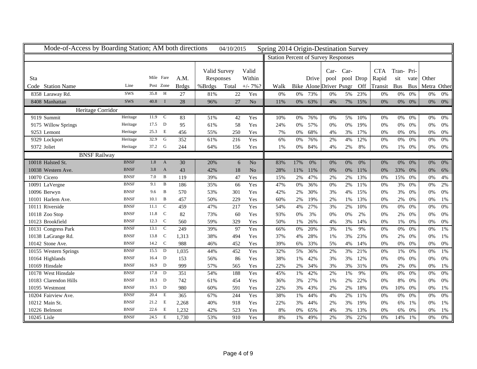| Mode-of-Access by Boarding Station; AM both directions |             |           |                |              |              | 04/10/2015 |                | Spring 2014 Origin-Destination Survey      |       |       |                         |       |           |                  |            |            |             |       |
|--------------------------------------------------------|-------------|-----------|----------------|--------------|--------------|------------|----------------|--------------------------------------------|-------|-------|-------------------------|-------|-----------|------------------|------------|------------|-------------|-------|
|                                                        |             |           |                |              |              |            |                | <b>Station Percent of Survey Responses</b> |       |       |                         |       |           |                  |            |            |             |       |
|                                                        |             |           |                |              |              |            |                |                                            |       |       |                         |       |           |                  |            |            |             |       |
|                                                        |             |           |                |              | Valid Survey |            | Valid          |                                            |       |       | $Car-$                  | Car-  |           | <b>CTA</b>       | Tran-Pri-  |            |             |       |
| Sta                                                    |             | Mile Fare |                | A.M.         | Responses    |            | Within         |                                            |       | Drive | pool                    |       | pool Drop | Rapid            | sit        | vate       | Other       |       |
| Code Station Name                                      | Line        | Post Zone |                | <b>Brdgs</b> | %Brdgs       | Total      | $+/- 7\%$ ?    | Walk                                       |       |       | Bike Alone Driver Psngr |       | Off       | Transit          | <b>Bus</b> | <b>Bus</b> | Metra Other |       |
| 8358 Laraway Rd.                                       | SWS         | 35.8      | H              | 27           | 81%          | 22         | Yes            | 0%                                         | 0%    | 73%   | 0%                      | 5%    | 23%       | 0%               | $0\%$      | 0%         | 0%          | 0%    |
| 8408 Manhattan                                         | <b>SWS</b>  | 40.8      | $\mathbf{I}$   | 28           | 96%          | 27         | N <sub>o</sub> | 11%                                        | $0\%$ | 63%   | 4%                      | 7%    | 15%       | 0%               | $0\%$      | 0%         | 0%          | 0%    |
| Heritage Corridor                                      |             |           |                |              |              |            |                |                                            |       |       |                         |       |           |                  |            |            |             |       |
| 9119 Summit                                            | Heritage    | 11.9      | $\overline{c}$ | 83           | 51%          | 42         | Yes            | 10%                                        | 0%    | 76%   | 0%                      | 5%    | 10%       | 0%               | $0\%$      | 0%         | 0%          | 0%    |
| 9175 Willow Springs                                    | Heritage    | 17.5      | D              | 95           | 61%          | 58         | Yes            | 24%                                        | 0%    | 57%   | 0%                      | 0%    | 19%       | 0%               | 0%         | 0%         | 0%          | 0%    |
| 9253 Lemont                                            | Heritage    | 25.3      | Е              | 456          | 55%          | 250        | Yes            | 7%                                         | 0%    | 68%   | 4%                      | 3%    | 17%       | 0%               | $0\%$      | 0%         | 0%          | 0%    |
| 9329 Lockport                                          | Heritage    | 32.9      | G              | 352          | 61%          | 216        | Yes            | 6%                                         | 0%    | 76%   | 2%                      | 4%    | 12%       | 0%               | 0%         | $0\%$      | 0%          | 0%    |
| 9372 Joliet                                            | Heritage    | 37.2      | G              | 244          | 64%          | 156        | Yes            | 1%                                         | 0%    | 84%   | 4%                      | 2%    | 8%        | 0%               |            | 1% 0%      | 0%          | 0%    |
| <b>BNSF Railway</b>                                    |             |           |                |              |              |            |                |                                            |       |       |                         |       |           |                  |            |            |             |       |
| 10018 Halsted St.                                      | <b>BNSF</b> | 1.8       | $\mathbf{A}$   | 30           | 20%          | 6          | No             | 83%                                        | 17%   | 0%    | 0%                      | 0%    | 0%        | 0%               | $0\%$      | 0%         | 0%          | 0%    |
| 10038 Western Ave.                                     | <b>BNSF</b> | 3.8       | $\mathbf{A}$   | 43           | 42%          | 18         | No             | 28%                                        | 11%   | 11%   | 0%                      | $0\%$ | 11%       | 0%               | 33%        | 0%         | 0%          | 6%    |
| 10070 Cicero                                           | <b>BNSF</b> | 7.0       | B              | 119          | 39%          | 47         | Yes            | 15%                                        | 2%    | 47%   | 2%                      | $2\%$ | 13%       | 0%               | 15%        | 0%         | 0%          | 4%    |
| 10091 LaVergne                                         | <b>BNSF</b> | 9.1       | B              | 186          | 35%          | 66         | Yes            | 47%                                        | 0%    | 36%   | 0%                      | 2%    | 11%       | 0%               | 3%         | 0%         | 0%          | 2%    |
| 10096 Berwyn                                           | <b>BNSF</b> | 9.6       | B              | 570          | 53%          | 301        | Yes            | 42%                                        | 2%    | 30%   | 3%                      | 4%    | 15%       | 0%               | 3%         | 0%         | 0%          | 0%    |
| 10101 Harlem Ave.                                      | <b>BNSF</b> | 10.1      | B              | 457          | 50%          | 229        | Yes            | 60%                                        | 2%    | 19%   | 2%                      | 1%    | 13%       | 0%               | 2%         | 0%         | 0%          | 1%    |
| 10111 Riverside                                        | <b>BNSF</b> | 11.1      | C              | 459          | 47%          | 217        | Yes            | 54%                                        | 4%    | 27%   | 3%                      | 2%    | 10%       | 0%               | 0%         | 0%         | 0%          | 0%    |
| 10118 Zoo Stop                                         | <b>BNSF</b> | 11.8      | $\mathcal{C}$  | 82           | 73%          | 60         | Yes            | 93%                                        | 0%    | 3%    | 0%                      | 0%    | 2%        | 0%               | $2\%$      | 0%         | 0%          | 0%    |
| 10123 Brookfield                                       | <b>BNSF</b> | 12.3      | $\mathbf C$    | 560          | 59%          | 329        | Yes            | 50%                                        | 1%    | 26%   | 4%                      | 3%    | 14%       | 0%               | 1%         | 0%         | 0%          | $0\%$ |
| 10131 Congress Park                                    | <b>BNSF</b> | 13.1      | ${\bf C}$      | 249          | 39%          | 97         | Yes            | 66%                                        | $0\%$ | 20%   | 3%                      | $1\%$ | 9%        | 0%               | $0\%$      | 0%         | 0%          | 1%    |
| 10138 LaGrange Rd.                                     | <b>BNSF</b> | 13.8      | $\mathbf C$    | 1,313        | 38%          | 494        | Yes            | 37%                                        | 4%    | 28%   | 1%                      | 3%    | 23%       | 0%               | 2%         | 0%         | 0%          | 1%    |
| 10142 Stone Ave.                                       | <b>BNSF</b> | 14.2 C    |                | 988          | 46%          | 452        | Yes            | 39%                                        | 6%    | 33%   | 5%                      | 4%    | 14%       | 0%               | $0\%$      | 0%         | 0%          | 0%    |
| 10155 Western Springs                                  | <b>BNSF</b> | 15.5      | D              | 1,035        | 44%          | 452        | Yes            | 32%                                        | 5%    | 36%   | 2%                      | 3%    | 21%       | $\overline{0\%}$ | 1%         | $0\%$      | 0%          | 1%    |
| 10164 Highlands                                        | <b>BNSF</b> | 16.4      | D              | 153          | 56%          | 86         | Yes            | 38%                                        | 1%    | 42%   | 3%                      | 3%    | 12%       | 0%               | 0%         | 0%         | 0%          | 0%    |
| 10169 Hinsdale                                         | <b>BNSF</b> | 16.9      | D              | 999          | 57%          | 565        | Yes            | 22%                                        | 2%    | 34%   | 3%                      | 3%    | 31%       | 0%               | 2%         | 0%         | 0%          | 1%    |
| 10178 West Hinsdale                                    | <b>BNSF</b> | 17.8      | D              | 351          | 54%          | 188        | Yes            | 45%                                        | 1%    | 42%   | 2%                      | 1%    | 9%        | 0%               | $0\%$      | 0%         | 0%          | 0%    |
| 10183 Clarendon Hills                                  | <b>BNSF</b> | 18.3      | D              | 742          | 61%          | 454        | Yes            | 36%                                        | 3%    | 27%   | 1%                      | 2%    | 22%       | 0%               | 8%         | 0%         | 0%          | 0%    |
| 10195 Westmont                                         | <b>BNSF</b> | 19.5      | D              | 980          | 60%          | 591        | Yes            | 22%                                        | 3%    | 43%   | 2%                      | 2%    | 18%       | 0%               | $10\%$     | 0%         | 0%          | 1%    |
| 10204 Fairview Ave.                                    | <b>BNSF</b> | 20.4      | E              | 365          | 67%          | 244        | Yes            | 38%                                        | 1%    | 44%   | 4%                      | 2%    | 11%       | 0%               | $0\%$      | 0%         | 0%          | 0%    |
| 10212 Main St.                                         | <b>BNSF</b> | 21.2      | E              | 2,268        | 40%          | 918        | Yes            | 22%                                        | 3%    | 44%   | 2%                      | 3%    | 19%       | 0%               | 6%         | 1%         | 0%          | 1%    |
| 10226 Belmont                                          | <b>BNSF</b> | 22.6      | E              | 1,232        | 42%          | 523        | Yes            | 8%                                         | 0%    | 65%   | 4%                      | 3%    | 13%       | 0%               | 6%         | 0%         | 0%          | $1\%$ |
| 10245 Lisle                                            | <b>BNSF</b> | 24.5      | E              | 1,730        | 53%          | 910        | Yes            | 8%                                         | $1\%$ | 49%   | 2%                      | 3%    | 22%       | 0%               | 14%        | $1\%$      | 0%          | 0%    |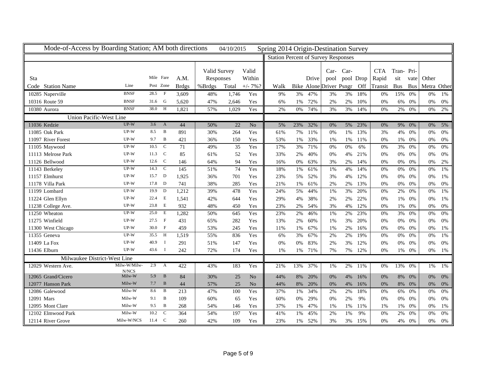| Mode-of-Access by Boarding Station; AM both directions |                 |           |                |                  |              | 04/10/2015 |                 | Spring 2014 Origin-Destination Survey      |       |       |                         |           |           |            |            |            |             |       |
|--------------------------------------------------------|-----------------|-----------|----------------|------------------|--------------|------------|-----------------|--------------------------------------------|-------|-------|-------------------------|-----------|-----------|------------|------------|------------|-------------|-------|
|                                                        |                 |           |                |                  |              |            |                 | <b>Station Percent of Survey Responses</b> |       |       |                         |           |           |            |            |            |             |       |
|                                                        |                 |           |                |                  |              |            |                 |                                            |       |       |                         |           |           |            |            |            |             |       |
|                                                        |                 | Mile Fare |                |                  | Valid Survey |            | Valid           |                                            |       |       |                         | Car- Car- |           | <b>CTA</b> | Tran-Pri-  |            |             |       |
| Sta                                                    |                 |           |                | A.M.             | Responses    |            | Within          |                                            |       | Drive | pool                    |           | pool Drop | Rapid      | sit        | vate       | Other       |       |
| Code Station Name                                      | Line            | Post Zone |                | <b>Brdgs</b>     | %Brdgs       | Total      | $+/- 7\%$ ?     | Walk                                       |       |       | Bike Alone Driver Psngr |           | Off       | Transit    | <b>Bus</b> | <b>Bus</b> | Metra Other |       |
| 10285 Naperville                                       | <b>BNSF</b>     | 28.5      | $\overline{F}$ | 3.609            | 48%          | 1,746      | Yes             | 9%                                         | 3%    | 47%   | 3%                      | 3%        | 18%       | 0%         | 15%        | 0%         | 0%          | 1%    |
| 10316 Route 59                                         | <b>BNSF</b>     | 31.6      | G              | 5,620            | 47%          | 2,646      | Yes             | 6%                                         | 1%    | 72%   | 2%                      | 2%        | 10%       | 0%         | $6\%$      | 0%         | 0%          | $0\%$ |
| 10380 Aurora                                           | <b>BNSF</b>     | 38.0      | H              | 1,821            | 57%          | 1,029      | Yes             | 2%                                         | $0\%$ | 74%   | 3%                      | 3%        | 14%       | 0%         | 2%         | 0%         | 0%          | 2%    |
| <b>Union Pacific-West Line</b>                         |                 |           |                |                  |              |            |                 |                                            |       |       |                         |           |           |            |            |            |             |       |
| 11036 Kedzie                                           | $UP-W$          | 3.6       | $\mathbf{A}$   | 44               | 50%          | 22         | $\overline{No}$ | 5%                                         | 23%   | 32%   | 0%                      | 5%        | 23%       | 0%         | 9%         | 0%         | 0%          | 5%    |
| 11085 Oak Park                                         | UP-W            | 8.5       | B              | 891              | 30%          | 264        | Yes             | 61%                                        | 7%    | 11%   | 0%                      | 1%        | 13%       | 3%         | 4%         | 0%         | 0%          | 0%    |
| 11097 River Forest                                     | UP-W            | 9.7       | B              | 421              | 36%          | 150        | Yes             | 53%                                        | 1%    | 33%   | 1%                      | 1%        | 11%       | 0%         | 1%         | 0%         | 0%          | $0\%$ |
| 11105 Maywood                                          | $UP-W$          | 10.5      | C              | 71               | 49%          | 35         | Yes             | 17%                                        | 3%    | 71%   | 0%                      | 0%        | 6%        | 0%         | 3%         | 0%         | 0%          | 0%    |
| 11113 Melrose Park                                     | UP-W            | 11.3      | $\mathbf C$    | 85               | 61%          | 52         | Yes             | 33%                                        | 2%    | 40%   | 0%                      | 4%        | 21%       | 0%         | 0%         | 0%         | 0%          | 0%    |
| 11126 Bellwood                                         | UP-W            | 12.6      | $\mathbf C$    | 146              | 64%          | 94         | Yes             | 16%                                        | 0%    | 63%   | 3%                      | 2%        | 14%       | 0%         | $0\%$      | 0%         | 0%          | 2%    |
| 11143 Berkeley                                         | UP-W            | 14.3      | C              | $\overline{145}$ | 51%          | 74         | Yes             | 18%                                        | $1\%$ | 61%   | 1%                      | 4%        | 14%       | 0%         | $0\%$      | 0%         | 0%          | 1%    |
| 11157 Elmhurst                                         | UP-W            | 15.7      | D              | 1,925            | 36%          | 701        | Yes             | 23%                                        | 5%    | 52%   | 3%                      | 4%        | 12%       | 0%         | 0%         | 0%         | 0%          | 1%    |
| 11178 Villa Park                                       | UP-W            | 17.8      | D              | 741              | 38%          | 285        | Yes             | 21%                                        | 1%    | 61%   | 2%                      | 2%        | 13%       | 0%         | 0%         | 0%         | 0%          | 0%    |
| 11199 Lombard                                          | UP-W            | 19.9      | D              | 1,212            | 39%          | 478        | Yes             | 24%                                        | 5%    | 44%   | 1%                      | 3%        | 20%       | 0%         | $2\%$      | 0%         | 0%          | 1%    |
| 11224 Glen Ellyn                                       | UP-W            | 22.4      | E              | 1,541            | 42%          | 644        | Yes             | 29%                                        | 4%    | 38%   | 2%                      | 2%        | 22%       | 0%         | 1%         | 0%         | 0%          | 1%    |
| 11238 College Ave.                                     | UP-W            | 23.8      | E              | 932              | 48%          | 450        | Yes             | 23%                                        | $2\%$ | 54%   | 3%                      | 4%        | 12%       | 0%         | 1%         | 0%         | 0%          | 0%    |
| 11250 Wheaton                                          | UP-W            | 25.0      | E              | 1,282            | 50%          | 645        | Yes             | 23%                                        | 2%    | 46%   | 1%                      | 2%        | 23%       | 0%         | 3%         | $0\%$      | 0%          | 0%    |
| 11275 Winfield                                         | UP-W            | 27.5      | $\mathbf{F}$   | 431              | 65%          | 282        | Yes             | 13%                                        | 2%    | 60%   | 1%                      | 3%        | 20%       | 0%         | $0\%$      | 0%         | 0%          | 0%    |
| 11300 West Chicago                                     | $UP-W$          | 30.0      | $\mathbf{F}$   | 459              | 53%          | 245        | Yes             | 11%                                        | 1%    | 67%   | 1%                      | 2%        | 16%       | 0%         | $0\%$      | 0%         | 0%          | 1%    |
| 11355 Geneva                                           | UP-W            | 35.5      | H              | 1,519            | 55%          | 836        | Yes             | 6%                                         | 3%    | 67%   | 2%                      | 2%        | 19%       | 0%         | $0\%$      | 0%         | 0%          | 1%    |
| 11409 La Fox                                           | UP-W            | 40.9      | $\mathbf{I}$   | 291              | 51%          | 147        | Yes             | 0%                                         | 0%    | 83%   | 2%                      | 3%        | 12%       | 0%         | 0%         | 0%         | 0%          | 0%    |
| 11436 Elburn                                           | UP-W            | 43.6      | Ι              | 242              | 72%          | 174        | Yes             | 1%                                         | 1%    | 71%   | 7%                      | 7%        | 12%       | 0%         | 1%         | 0%         | 0%          | 1%    |
| Milwaukee District-West Line                           |                 |           |                |                  |              |            |                 |                                            |       |       |                         |           |           |            |            |            |             |       |
| 12029 Western Ave.                                     | Milw-W/Milw-    | 2.9       | $\mathbf{A}$   | 422              | 43%          | 183        | Yes             | 21%                                        | 13%   | 37%   | 1%                      | 2%        | 11%       | 0%         | 13%        | 0%         | 1%          | 1%    |
| 12065 Grand/Cicero                                     | N/NCS<br>Milw-W | 5.9       | B              | 84               | 30%          | 25         | N <sub>o</sub>  | 44%                                        | 8%    | 20%   | 0%                      | 4%        | 16%       | 0%         | 8%         | 0%         | 0%          | 0%    |
| 12077 Hanson Park                                      | Milw-W          | 7.7       | B              | 44               | 57%          | 25         | $\rm No$        | 44%                                        | 8%    | 20%   | 0%                      | 4%        | 16%       | 0%         | 8%         | 0%         | 0%          | 0%    |
| 12086 Galewood                                         | Milw-W          | 8.6       | B              | 213              | 47%          | 100        | Yes             | 37%                                        | 1%    | 34%   | 2%                      | 2%        | 18%       | 0%         | 6%         | 0%         | 0%          | 0%    |
| 12091 Mars                                             | Milw-W          | 9.1       | B              | 109              | 60%          | 65         | Yes             | 60%                                        | 0%    | 29%   | 0%                      | 2%        | 9%        | 0%         | $0\%$      | 0%         | 0%          | 0%    |
| 12095 Mont Clare                                       | Milw-W          | 9.5       | B              | 268              | 54%          | 146        | Yes             | 37%                                        | 1%    | 47%   | 1%                      | 1%        | 11%       | 1%         | 1%         | 0%         | 0%          | 1%    |
| 12102 Elmwood Park                                     | Milw-W          | 10.2      | $\mathcal{C}$  | 364              | 54%          | 197        | Yes             | 41%                                        | 1%    | 45%   | 2%                      | 1%        | 9%        | 0%         | 2%         | 0%         | 0%          | 0%    |
| 12114 River Grove                                      | Milw-W/NCS      | 11.4      | $\mathbf C$    | 260              | 42%          | 109        | Yes             | 23%                                        | 1%    | 52%   | 3%                      | 3%        | 15%       | 0%         | 4%         | 0%         | 0%          | $0\%$ |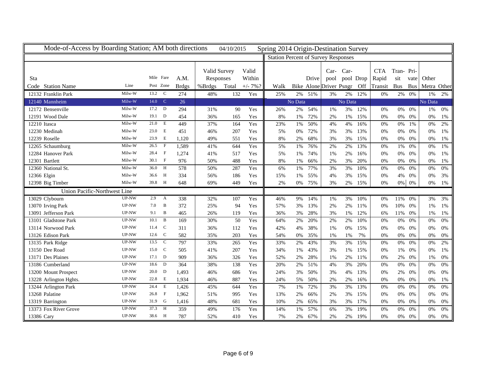| Mode-of-Access by Boarding Station; AM both directions |        |                       |              |              | 04/10/2015 |             | Spring 2014 Origin-Destination Survey      |         |       |                         |         |           |            |            |            |             |       |
|--------------------------------------------------------|--------|-----------------------|--------------|--------------|------------|-------------|--------------------------------------------|---------|-------|-------------------------|---------|-----------|------------|------------|------------|-------------|-------|
|                                                        |        |                       |              |              |            |             | <b>Station Percent of Survey Responses</b> |         |       |                         |         |           |            |            |            |             |       |
|                                                        |        |                       |              |              |            |             |                                            |         |       |                         |         |           |            |            |            |             |       |
|                                                        |        |                       |              | Valid Survey |            | Valid       |                                            |         |       | $Car-$                  | Car-    |           | <b>CTA</b> | Tran-Pri-  |            |             |       |
| Sta                                                    |        | Mile Fare             | A.M.         | Responses    |            | Within      |                                            |         | Drive | pool                    |         | pool Drop | Rapid      | sit        | vate       | Other       |       |
| Code Station Name                                      | Line   | Post Zone             | <b>Brdgs</b> | %Brdgs       | Total      | $+/- 7\%$ ? | Walk                                       |         |       | Bike Alone Driver Psngr |         | Off       | Transit    | <b>Bus</b> | <b>Bus</b> | Metra Other |       |
| 12132 Franklin Park                                    | Milw-W | 13.2<br>C             | 274          | 48%          | 132        | Yes         | 25%                                        | 2%      | 51%   | 3%                      | $2\%$   | 12%       | 0%         | $2\%$      | 0%         | 1%          | 2%    |
| 12140 Mannheim                                         | Milw-W | 14.0<br>$\mathcal{C}$ | 26           |              |            |             |                                            | No Data |       |                         | No Data |           |            |            |            | No Data     |       |
| 12172 Bensenville                                      | Milw-W | 17.2<br>D             | 294          | 31%          | 90         | Yes         | 26%                                        | 2%      | 54%   | 1%                      | 3%      | 12%       | 0%         | $0\%$      | 0%         | 1%          | 0%    |
| 12191 Wood Dale                                        | Milw-W | D<br>19.1             | 454          | 36%          | 165        | Yes         | 8%                                         | 1%      | 72%   | 2%                      | 1%      | 15%       | 0%         | $0\%$      | 0%         | 0%          | 1%    |
| 12210 Itasca                                           | Milw-W | 21.0<br>E             | 449          | 37%          | 164        | Yes         | 23%                                        | 1%      | 50%   | 4%                      | 4%      | 16%       | 0%         | $0\%$      | 1%         | 0%          | 2%    |
| 12230 Medinah                                          | Milw-W | 23.0<br>E             | 451          | 46%          | 207        | Yes         | 5%                                         | 0%      | 72%   | 3%                      | 3%      | 13%       | 0%         | 0%         | 0%         | 0%          | 1%    |
| 12239 Roselle                                          | Milw-W | 23.9<br>E             | 1,120        | 49%          | 551        | Yes         | 8%                                         | 2%      | 68%   | 3%                      | 3%      | 15%       | 0%         | $0\%$      | 0%         | 0%          | 1%    |
| 12265 Schaumburg                                       | Milw-W | $\mathbf{F}$<br>26.5  | 1.589        | 41%          | 644        | Yes         | 5%                                         | 1%      | 76%   | 2%                      | 2%      | 13%       | 0%         | 1%         | 0%         | 0%          | 1%    |
| 12284 Hanover Park                                     | Milw-W | $\mathbf{F}$<br>28.4  | 1,274        | 41%          | 517        | Yes         | 5%                                         | 1%      | 74%   | 1%                      | 2%      | 16%       | 0%         | $0\%$      | 0%         | 0%          | 1%    |
| 12301 Bartlett                                         | Milw-W | 30.1 F                | 976          | 50%          | 488        | Yes         | 8%                                         | 1%      | 66%   | 2%                      | 3%      | 20%       | 0%         | 0%         | 0%         | 0%          | 1%    |
| 12360 National St.                                     | Milw-W | H<br>36.0             | 578          | 50%          | 287        | Yes         | 6%                                         | 1%      | 77%   | 3%                      | 3%      | 10%       | 0%         | 0%         | 0%         | 0%          | 0%    |
| 12366 Elgin                                            | Milw-W | $\mathbf{H}$<br>36.6  | 334          | 56%          | 186        | Yes         | 15%                                        | 1%      | 55%   | 4%                      | 3%      | 15%       | 0%         | 4%         | 0%         | 0%          | 3%    |
| 12398 Big Timber                                       | Milw-W | 39.8 H                | 648          | 69%          | 449        | Yes         | 2%                                         | $0\%$   | 75%   | 3%                      | 2%      | 15%       | 0%         | $0\%$      | 0%         | 0%          | 1%    |
| Union Pacific-Northwest Line                           |        |                       |              |              |            |             |                                            |         |       |                         |         |           |            |            |            |             |       |
| 13029 Clybourn                                         | UP-NW  | 2.9<br>А              | 338          | 32%          | 107        | Yes         | 46%                                        | 9%      | 14%   | 1%                      | 3%      | 10%       | 0%         | 11%        | 0%         | 3%          | 3%    |
| 13070 Irving Park                                      | UP-NW  | B<br>7.0              | 372          | 25%          | 94         | Yes         | 57%                                        | 3%      | 13%   | 2%                      | 2%      | 11%       | 0%         | 10%        | 0%         | 1%          | 1%    |
| 13091 Jefferson Park                                   | UP-NW  | B<br>9.1              | 465          | 26%          | 119        | Yes         | 36%                                        | 3%      | 28%   | 3%                      | 1%      | 12%       | 6%         | 11%        | 0%         | 1%          | 1%    |
| 13101 Gladstone Park                                   | UP-NW  | 10.1<br>B             | 169          | 30%          | 50         | Yes         | 64%                                        | 2%      | 20%   | 2%                      | 2%      | 10%       | 0%         | 0%         | 0%         | 0%          | 0%    |
| 13114 Norwood Park                                     | UP-NW  | $\mathbf C$<br>11.4   | 311          | 36%          | 112        | Yes         | 42%                                        | 4%      | 38%   | 1%                      | 0%      | 15%       | 0%         | 0%         | 0%         | 0%          | 0%    |
| 13126 Edison Park                                      | UP-NW  | $\mathbf C$<br>12.6   | 582          | 35%          | 203        | Yes         | 54%                                        | 0%      | 35%   | 1%                      | 1%      | 7%        | 0%         | $0\%$      | 0%         | 0%          | 0%    |
| 13135 Park Ridge                                       | UP-NW  | $\mathbf C$<br>13.5   | 797          | 33%          | 265        | Yes         | 33%                                        | 2%      | 43%   | 3%                      | 3%      | 15%       | 0%         | $0\%$      | 0%         | 0%          | 2%    |
| 13150 Dee Road                                         | UP-NW  | C<br>15.0             | 505          | 41%          | 207        | Yes         | 34%                                        | 1%      | 43%   | 3%                      | 1%      | 15%       | 0%         | 1%         | 0%         | 0%          | 1%    |
| 13171 Des Plaines                                      | UP-NW  | $17.1$ D              | 909          | 36%          | 326        | Yes         | 52%                                        | 2%      | 28%   | 1%                      | 2%      | 11%       | 0%         | 2%         | 0%         | 1%          | 0%    |
| 13186 Cumberland                                       | UP-NW  | 18.6<br>D             | 364          | 38%          | 138        | Yes         | 20%                                        | 2%      | 51%   | 4%                      | 3%      | 20%       | 0%         | $0\%$      | 0%         | 0%          | 0%    |
| 13200 Mount Prospect                                   | UP-NW  | D<br>20.0             | 1,493        | 46%          | 686        | Yes         | 24%                                        | 3%      | 50%   | 3%                      | 4%      | 13%       | 0%         | 2%         | 0%         | 0%          | 0%    |
| 13228 Arlington Hghts.                                 | UP-NW  | E<br>22.8             | 1,934        | 46%          | 887        | Yes         | 24%                                        | 5%      | 50%   | 2%                      | 2%      | 16%       | 0%         | 0%         | 0%         | 0%          | 1%    |
| 13244 Arlington Park                                   | UP-NW  | E<br>24.4             | 1,426        | 45%          | 644        | Yes         | 7%                                         | 1%      | 72%   | 3%                      | 3%      | 13%       | 0%         | $0\%$      | 0%         | 0%          | 0%    |
| 13268 Palatine                                         | UP-NW  | 26.8<br>- F           | 1,962        | 51%          | 995        | Yes         | 13%                                        | 2%      | 66%   | 2%                      | 3%      | 15%       | 0%         | $0\%$      | 0%         | 0%          | 0%    |
| 13319 Barrington                                       | UP-NW  | G<br>31.9             | 1,416        | 48%          | 681        | Yes         | 10%                                        | 2%      | 65%   | 3%                      | 3%      | 17%       | 0%         | $0\%$      | 0%         | 0%          | 0%    |
| 13373 Fox River Grove                                  | UP-NW  | $\mathbf H$<br>37.3   | 359          | 49%          | 176        | Yes         | 14%                                        | 1%      | 57%   | 6%                      | 3%      | 19%       | 0%         | $0\%$      | 0%         | 0%          | 0%    |
| 13386 Cary                                             | UP-NW  | 38.6 H                | 787          | 52%          | 410        | Yes         | 7%                                         | $2\%$   | 67%   | 2%                      | 2%      | 19%       | 0%         | $0\%$      | 0%         | $0\%$       | $0\%$ |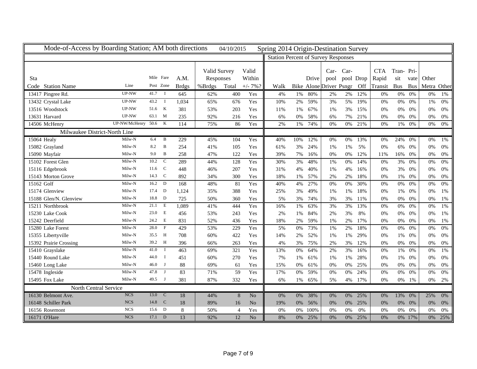| Mode-of-Access by Boarding Station; AM both directions |                      |           |              |              |              | 04/10/2015     |                | Spring 2014 Origin-Destination Survey      |       |       |                         |      |           |            |            |            |             |       |
|--------------------------------------------------------|----------------------|-----------|--------------|--------------|--------------|----------------|----------------|--------------------------------------------|-------|-------|-------------------------|------|-----------|------------|------------|------------|-------------|-------|
|                                                        |                      |           |              |              |              |                |                | <b>Station Percent of Survey Responses</b> |       |       |                         |      |           |            |            |            |             |       |
|                                                        |                      |           |              |              |              |                |                |                                            |       |       |                         |      |           |            |            |            |             |       |
|                                                        |                      | Mile Fare |              |              | Valid Survey |                | Valid          |                                            |       |       | $Car-$                  | Car- |           | <b>CTA</b> | Tran-Pri-  |            |             |       |
| <b>Sta</b>                                             |                      |           |              | A.M.         | Responses    |                | Within         |                                            |       | Drive | pool                    |      | pool Drop | Rapid      | sit        | vate       | Other       |       |
| Code Station Name                                      | Line                 | Post Zone |              | <b>Brdgs</b> | %Brdgs       | Total          | $+/- 7\%$ ?    | Walk                                       |       |       | Bike Alone Driver Psngr |      | Off       | Transit    | <b>Bus</b> | <b>Bus</b> | Metra Other |       |
| 13417 Pingree Rd.                                      | UP-NW                | 41.7      | $\mathbf{I}$ | 645          | 62%          | 400            | Yes            | 4%                                         | $1\%$ | 80%   | 2%                      | 2%   | 12%       | 0%         | $0\%$      | 0%         | 0%          | 1%    |
| 13432 Crystal Lake                                     | UP-NW                | 43.2      | $\mathbf{I}$ | 1,034        | 65%          | 676            | Yes            | 10%                                        | 2%    | 59%   | 3%                      | 5%   | 19%       | 0%         | $0\%$      | 0%         | 1%          | 0%    |
| 13516 Woodstock                                        | UP-NW                | 51.6      | $\mathbf K$  | 381          | 53%          | 203            | Yes            | 11%                                        | 1%    | 67%   | 1%                      | 3%   | 15%       | 0%         | $0\%$      | 0%         | 0%          | 0%    |
| 13631 Harvard                                          | UP-NW                | 63.1      | M            | 235          | 92%          | 216            | Yes            | 6%                                         | 0%    | 58%   | 6%                      | 7%   | 21%       | 0%         | $0\%$      | 0%         | 0%          | 0%    |
| 14506 McHenry                                          | UP-NW/McHenry 50.6 K |           |              | 114          | 75%          | 86             | Yes            | 2%                                         | 1%    | 74%   | 0%                      | 0%   | 21%       | 0%         | 1%         | 0%         | 0%          | 0%    |
| Milwaukee District-North Line                          |                      |           |              |              |              |                |                |                                            |       |       |                         |      |           |            |            |            |             |       |
| 15064 Healy                                            | Milw-N               | 6.4       | B            | 229          | 45%          | 104            | Yes            | 40%                                        | 10%   | 12%   | 0%                      | 0%   | 13%       | 0%         | 24%        | 0%         | 0%          | 1%    |
| 15082 Grayland                                         | Milw-N               | 8.2       | $\, {\bf B}$ | 254          | 41%          | 105            | Yes            | 61%                                        | 3%    | 24%   | 1%                      | 1%   | 5%        | 0%         | 6%         | 0%         | 0%          | 0%    |
| 15090 Mayfair                                          | Milw-N               | 9.0       | B            | 258          | 47%          | 122            | Yes            | 39%                                        | 7%    | 16%   | 0%                      | 0%   | 12%       | 11%        | 16%        | 0%         | 0%          | 0%    |
| 15102 Forest Glen                                      | Milw-N               | 10.2      | $\mathbf C$  | 289          | 44%          | 128            | Yes            | 30%                                        | 3%    | 48%   | 1%                      | 0%   | 14%       | 0%         | 3%         | 0%         | 0%          | 0%    |
| 15116 Edgebrook                                        | Milw-N               | 11.6      | $\mathbf C$  | 448          | 46%          | 207            | Yes            | 31%                                        | 4%    | 40%   | 1%                      | 4%   | 16%       | 0%         | 3%         | 0%         | 0%          | 0%    |
| 15143 Morton Grove                                     | Milw-N               | 14.3      | $\mathbf C$  | 892          | 34%          | 300            | Yes            | 18%                                        | 1%    | 57%   | 2%                      | 2%   | 18%       | 0%         | $1\%$      | 0%         | 0%          | 0%    |
| 15162 Golf                                             | Milw-N               | 16.2      | D            | 168          | 48%          | 81             | Yes            | 40%                                        | 4%    | 27%   | 0%                      | 0%   | 30%       | 0%         | $0\%$      | 0%         | 0%          | 0%    |
| 15174 Glenview                                         | Milw-N               | 17.4      | D            | 1,124        | 35%          | 388            | Yes            | 25%                                        | 3%    | 49%   | 1%                      | 1%   | 18%       | 0%         | 1%         | 0%         | 0%          | 1%    |
| 15188 Glen/N. Glenview                                 | Milw-N               | 18.8      | $\mathbf D$  | 725          | 50%          | 360            | Yes            | 5%                                         | 3%    | 74%   | 3%                      | 3%   | 11%       | 0%         | $0\%$      | 0%         | 0%          | 1%    |
| 15211 Northbrook                                       | Milw-N               | 21.1      | E            | 1,089        | 41%          | 444            | Yes            | 16%                                        | 1%    | 63%   | 3%                      | 3%   | 13%       | 0%         | $0\%$      | 0%         | 0%          | 1%    |
| 15230 Lake Cook                                        | Milw-N               | 23.0      | E            | 456          | 53%          | 243            | Yes            | 2%                                         | 1%    | 84%   | 2%                      | 3%   | 8%        | 0%         | 0%         | 0%         | 0%          | 1%    |
| 15242 Deerfield                                        | Milw-N               | 24.2      | E            | 831          | 52%          | 436            | Yes            | 18%                                        | 2%    | 59%   | 1%                      | 2%   | 17%       | 0%         | 0%         | 0%         | 0%          | 1%    |
| 15280 Lake Forest                                      | Milw-N               | 28.0      | $\mathbf{F}$ | 429          | 53%          | 229            | Yes            | 5%                                         | $0\%$ | 73%   | 1%                      | 2%   | 18%       | 0%         | $0\%$      | 0%         | 0%          | 0%    |
| 15355 Libertyville                                     | Milw-N               | 35.5      | H            | 708          | 60%          | 422            | Yes            | 14%                                        | 2%    | 52%   | 1%                      | 1%   | 29%       | 0%         | 1%         | 0%         | 0%          | 0%    |
| 15392 Prairie Crossing                                 | Milw-N               | 39.2      | $\mathbf H$  | 396          | 66%          | 263            | Yes            | 4%                                         | 3%    | 75%   | 2%                      | 3%   | 12%       | 0%         | $0\%$      | 0%         | 0%          | 0%    |
| 15410 Grayslake                                        | Milw-N               | 41.0      | Ι            | 463          | 69%          | 321            | Yes            | 13%                                        | 0%    | 64%   | 2%                      | 3%   | 16%       | 0%         | 1%         | 0%         | 0%          | 1%    |
| 15440 Round Lake                                       | Milw-N               | 44.0      | $\mathbf I$  | 451          | 60%          | 270            | Yes            | 7%                                         | 1%    | 61%   | 1%                      | 1%   | 28%       | 0%         | 1%         | 0%         | 0%          | 0%    |
| 15460 Long Lake                                        | Milw-N               | 46.0      | J            | 88           | 69%          | 61             | Yes            | 15%                                        | 0%    | 61%   | 0%                      | 0%   | 25%       | 0%         | $0\%$      | 0%         | 0%          | 0%    |
| 15478 Ingleside                                        | Milw-N               | 47.8      | J            | 83           | 71%          | 59             | Yes            | 17%                                        | $0\%$ | 59%   | 0%                      | 0%   | 24%       | 0%         | 0%         | 0%         | 0%          | 0%    |
| 15495 Fox Lake                                         | Milw-N               | 49.5      | $\mathbf{J}$ | 381          | 87%          | 332            | Yes            | 6%                                         | 1%    | 65%   | 5%                      | 4%   | 17%       | 0%         | 0%         | 1%         | 0%          | 2%    |
| North Central Service                                  |                      |           |              |              |              |                |                |                                            |       |       |                         |      |           |            |            |            |             |       |
| 16130 Belmont Ave.                                     | <b>NCS</b>           | 13.0      | $\mathbf C$  | 18           | 44%          | 8              | $\rm No$       | 0%                                         | 0%    | 38%   | 0%                      | 0%   | 25%       | 0%         | 13%        | 0%         | 25%         | 0%    |
| 16148 Schiller Park                                    | <b>NCS</b>           | 14.8      | $\mathbf C$  | 18           | 89%          | 16             | N <sub>o</sub> | 19%                                        | 0%    | 56%   | 0%                      | 0%   | 25%       | 0%         | $0\%$      | 0%         | $0\%$       | $0\%$ |
| 16156 Rosemont                                         | <b>NCS</b>           | 15.6      | $\mathbf D$  | 8            | 50%          | $\overline{4}$ | Yes            | 0%                                         | 0%    | 100%  | 0%                      | 0%   | 0%        | 0%         | 0%         | 0%         | 0%          | 0%    |
| 16171 O'Hare                                           | <b>NCS</b>           | 17.1      | D            | 13           | 92%          | 12             | N <sub>o</sub> | 8%                                         | 0%    | 25%   | 0%                      | 0%   | 25%       | 0%         |            | 0% 17%     | 0%          | 25%   |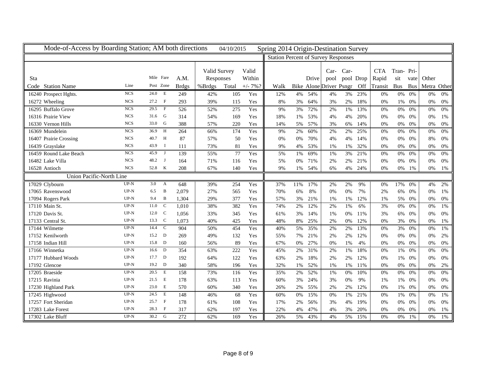| Mode-of-Access by Boarding Station; AM both directions |            |                        |              |              | 04/10/2015 |             | Spring 2014 Origin-Destination Survey      |       |       |                                |      |           |            |            |            |             |       |
|--------------------------------------------------------|------------|------------------------|--------------|--------------|------------|-------------|--------------------------------------------|-------|-------|--------------------------------|------|-----------|------------|------------|------------|-------------|-------|
|                                                        |            |                        |              |              |            |             | <b>Station Percent of Survey Responses</b> |       |       |                                |      |           |            |            |            |             |       |
|                                                        |            |                        |              |              |            |             |                                            |       |       |                                |      |           |            |            |            |             |       |
|                                                        |            | Mile Fare              |              | Valid Survey |            | Valid       |                                            |       |       | $Car-$                         | Car- |           | <b>CTA</b> | Tran-Pri-  |            |             |       |
| Sta                                                    |            |                        | A.M.         | Responses    |            | Within      |                                            |       | Drive | pool                           |      | pool Drop | Rapid      | sit        | vate       | Other       |       |
| Code Station Name                                      | Line       | Post Zone              | <b>Brdgs</b> | %Brdgs       | Total      | $+/- 7\%$ ? | Walk                                       |       |       | <b>Bike Alone Driver Psngr</b> |      | Off       | Transit    | <b>Bus</b> | <b>Bus</b> | Metra Other |       |
| 16240 Prospect Hghts.                                  | <b>NCS</b> | 24.0<br>E              | 249          | 42%          | 105        | Yes         | 12%                                        | 4%    | 54%   | 4%                             | 3%   | 23%       | 0%         | 0%         | 0%         | 0%          | 0%    |
| 16272 Wheeling                                         | <b>NCS</b> | $\mathbf{F}$<br>27.2   | 293          | 39%          | 115        | Yes         | 8%                                         | 3%    | 64%   | 3%                             | 2%   | 18%       | 0%         | 1%         | 0%         | 0%          | 0%    |
| 16295 Buffalo Grove                                    | <b>NCS</b> | $\mathbf{F}$<br>29.5   | 526          | 52%          | 275        | Yes         | 9%                                         | 3%    | 72%   | 2%                             | 1%   | 13%       | 0%         | $0\%$      | 0%         | 0%          | 0%    |
| 16316 Prairie View                                     | <b>NCS</b> | G<br>31.6              | 314          | 54%          | 169        | Yes         | 18%                                        | 1%    | 53%   | 4%                             | 4%   | 20%       | 0%         | $0\%$      | 0%         | 0%          | 1%    |
| 16330 Vernon Hills                                     | <b>NCS</b> | G<br>33.0              | 388          | 57%          | 220        | Yes         | 14%                                        | 5%    | 57%   | 3%                             | 6%   | 14%       | 0%         | $0\%$      | 0%         | 0%          | 0%    |
| 16369 Mundelein                                        | <b>NCS</b> | H<br>36.9              | 264          | 66%          | 174        | Yes         | 9%                                         | 2%    | 60%   | 2%                             | 2%   | 25%       | $0\%$      | $0\%$      | $0\%$      | $0\%$       | $0\%$ |
| 16407 Prairie Crossing                                 | <b>NCS</b> | 40.7<br>$\mathbf H$    | 87           | 57%          | 50         | Yes         | $0\%$                                      | 0%    | 70%   | 4%                             | 4%   | 14%       | 0%         | $0\%$      | 0%         | 8%          | 0%    |
| 16439 Grayslake                                        | <b>NCS</b> | 43.9<br>$\mathbf I$    | 111          | 73%          | 81         | Yes         | 9%                                         | 4%    | 53%   | 1%                             | 1%   | 32%       | 0%         | $0\%$      | 0%         | 0%          | 0%    |
| 16459 Round Lake Beach                                 | <b>NCS</b> | 45.9<br>$\mathbf{J}$   | 139          | 55%          | 77         | Yes         | 5%                                         | 1%    | 69%   | 1%                             | 3%   | 21%       | 0%         | $0\%$      | $0\%$      | 0%          | $0\%$ |
| 16482 Lake Villa                                       | <b>NCS</b> | 48.2<br>$\mathbf{J}$   | 164          | 71%          | 116        | Yes         | 5%                                         | $0\%$ | 71%   | 2%                             | 2%   | 21%       | 0%         | $0\%$      | 0%         | 0%          | $0\%$ |
| 16528 Antioch                                          | <b>NCS</b> | 52.8 K                 | 208          | 67%          | 140        | Yes         | 9%                                         | 1%    | 54%   | 6%                             | 4%   | 24%       | 0%         | $0\%$      | 1%         | 0%          | 1%    |
| <b>Union Pacific-North Line</b>                        |            |                        |              |              |            |             |                                            |       |       |                                |      |           |            |            |            |             |       |
| 17029 Clybourn                                         | $UP-N$     | 3.0<br>$\mathbf{A}$    | 648          | 39%          | 254        | Yes         | 37%                                        | 11%   | 17%   | 2%                             | 2%   | 9%        | 0%         | 17%        | 0%         | 4%          | 2%    |
| 17065 Ravenswood                                       | $UP-N$     | B<br>6.5               | 2,079        | 27%          | 565        | Yes         | 70%                                        | 6%    | 8%    | 0%                             | 0%   | 7%        | 2%         | 6%         | 0%         | 0%          | 1%    |
| 17094 Rogers Park                                      | $UP-N$     | B<br>9.4               | 1,304        | 29%          | 377        | Yes         | 57%                                        | 3%    | 21%   | 1%                             | 1%   | 12%       | 1%         | 5%         | 0%         | 0%          | $0\%$ |
| 17110 Main St.                                         | $UP-N$     | 11.0<br>$\mathcal{C}$  | 1,010        | 38%          | 382        | Yes         | 74%                                        | 2%    | 12%   | 2%                             | 1%   | 6%        | 3%         | $0\%$      | 0%         | 0%          | 1%    |
| 17120 Davis St.                                        | $UP-N$     | $\mathcal{C}$<br>12.0  | 1,056        | 33%          | 345        | Yes         | 61%                                        | 3%    | 14%   | 1%                             | 0%   | 11%       | 3%         | 6%         | 0%         | 0%          | 0%    |
| 17133 Central St.                                      | $UP-N$     | $\mathbf C$<br>13.3    | 1,073        | 40%          | 425        | Yes         | 48%                                        | 8%    | 25%   | 2%                             | 0%   | 12%       | 0%         | 3%         | 0%         | 0%          | 1%    |
| 17144 Wilmette                                         | $UP-N$     | $\mathbf C$<br>14.4    | 904          | 50%          | 454        | Yes         | 40%                                        | 5%    | 35%   | 2%                             | 2%   | 13%       | 0%         | 3%         | 0%         | 0%          | 1%    |
| 17152 Kenilworth                                       | $UP-N$     | D<br>15.2              | 269          | 49%          | 132        | Yes         | 55%                                        | 7%    | 21%   | 2%                             | 2%   | 12%       | 0%         | $0\%$      | 0%         | 0%          | 2%    |
| 17158 Indian Hill                                      | $UP-N$     | 15.8<br>$\mathbf D$    | 160          | 56%          | 89         | Yes         | 67%                                        | 0%    | 27%   | 0%                             | 1%   | 4%        | 0%         | $0\%$      | 0%         | 0%          | $0\%$ |
| 17166 Winnetka                                         | $UP-N$     | 16.6<br>D              | 354          | 63%          | 222        | Yes         | 45%                                        | 2%    | 31%   | 2%                             | 1%   | 18%       | $0\%$      | $1\%$      | 0%         | $0\%$       | $0\%$ |
| 17177 Hubbard Woods                                    | $UP-N$     | D<br>17.7              | 192          | 64%          | 122        | Yes         | 63%                                        | 2%    | 18%   | 2%                             | 2%   | 12%       | 0%         | 1%         | 0%         | 0%          | 0%    |
| 17192 Glencoe                                          | $UP-N$     | 19.2 D                 | 340          | 58%          | 196        | Yes         | 32%                                        | 1%    | 52%   | 1%                             | 1%   | 11%       | 0%         | $0\%$      | 0%         | 0%          | $2\%$ |
| 17205 Braeside                                         | $UP-N$     | E<br>20.5              | 158          | 73%          | 116        | Yes         | 35%                                        | 2%    | 52%   | 1%                             | 0%   | 10%       | 0%         | $0\%$      | 0%         | $0\%$       | $0\%$ |
| 17215 Ravinia                                          | $UP-N$     | 21.5<br>E              | 178          | 63%          | 113        | Yes         | 60%                                        | 3%    | 24%   | 3%                             | 0%   | 9%        | 1%         | 1%         | 0%         | 0%          | $0\%$ |
| 17230 Highland Park                                    | $UP-N$     | E<br>23.0              | 570          | 60%          | 340        | Yes         | 26%                                        | 2%    | 55%   | 2%                             | 2%   | 12%       | 0%         | 1%         | 0%         | 0%          | 0%    |
| 17245 Highwood                                         | $UP-N$     | E<br>24.5              | 148          | 46%          | 68         | Yes         | 60%                                        | 0%    | 15%   | 0%                             | 1%   | 21%       | 0%         | 1%         | 0%         | 0%          | 1%    |
| 17257 Fort Sheridan                                    | $UP-N$     | 25.7<br>$\overline{F}$ | 178          | 61%          | 108        | Yes         | 17%                                        | 2%    | 56%   | 3%                             | 4%   | 19%       | 0%         | 0%         | 0%         | 0%          | 0%    |
| 17283 Lake Forest                                      | $UP-N$     | $\overline{F}$<br>28.3 | 317          | 62%          | 197        | Yes         | 22%                                        | 4%    | 47%   | 4%                             | 3%   | 20%       | 0%         | 0%         | 0%         | 0%          | 1%    |
| 17302 Lake Bluff                                       | $UP-N$     | 30.2<br>G              | 272          | 62%          | 169        | Yes         | 26%                                        | 5%    | 43%   | 4%                             | 5%   | 15%       | 0%         | $0\%$      | 1%         | 0%          | 1%    |